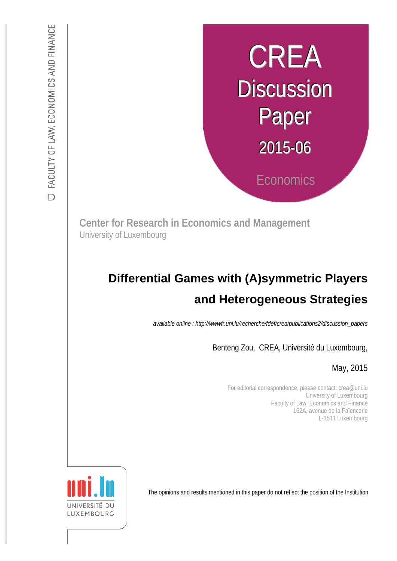# CREA **Discussion** Paper 2015-06 **Economics**

**Center for Research in Economics and Management** University of Luxembourg

# :s *def.uni.lu/index.php/fdef\_FR/economie/crea*  **and Heterogeneous Strategies Differential Games with (A)symmetric Players**

*available online : http://wwwfr.uni.lu/recherche/fdef/crea/publications2/discussion\_papers* 

Benteng Zou, CREA, Université du Luxembourg,

May, 2015

For editorial correspondence, please contact: crea@uni.lu University of Luxembourg Faculty of Law, Economics and Finance 162A, avenue de la Faïencerie L-1511 Luxembourg

The opinions and results mentioned in this paper do not reflect the position of the Institution

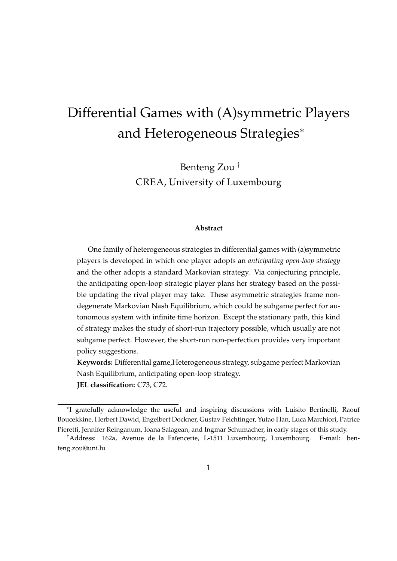# Differential Games with (A)symmetric Players and Heterogeneous Strategies*<sup>∗</sup>*

Benteng Zou *†* CREA, University of Luxembourg

#### **Abstract**

One family of heterogeneous strategies in differential games with (a)symmetric players is developed in which one player adopts an *anticipating open-loop strategy* and the other adopts a standard Markovian strategy. Via conjecturing principle, the anticipating open-loop strategic player plans her strategy based on the possible updating the rival player may take. These asymmetric strategies frame nondegenerate Markovian Nash Equilibrium, which could be subgame perfect for autonomous system with infinite time horizon. Except the stationary path, this kind of strategy makes the study of short-run trajectory possible, which usually are not subgame perfect. However, the short-run non-perfection provides very important policy suggestions.

**Keywords:** Differential game,Heterogeneous strategy, subgame perfect Markovian Nash Equilibrium, anticipating open-loop strategy. **JEL classification:** C73, C72.

*<sup>∗</sup>* I gratefully acknowledge the useful and inspiring discussions with Luisito Bertinelli, Raouf Boucekkine, Herbert Dawid, Engelbert Dockner, Gustav Feichtinger, Yutao Han, Luca Marchiori, Patrice Pieretti, Jennifer Reinganum, Ioana Salagean, and Ingmar Schumacher, in early stages of this study.

<sup>&</sup>lt;sup>†</sup>Address: 162a, Avenue de la Faïencerie, L-1511 Luxembourg, Luxembourg. E-mail: benteng.zou@uni.lu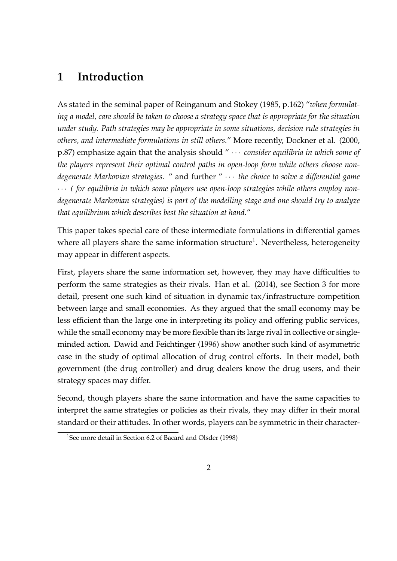### **1 Introduction**

As stated in the seminal paper of Reinganum and Stokey (1985, p.162) "*when formulating a model, care should be taken to choose a strategy space that is appropriate for the situation under study. Path strategies may be appropriate in some situations, decision rule strategies in others, and intermediate formulations in still others.*" More recently, Dockner et al. (2000, p.87) emphasize again that the analysis should " *· · · consider equilibria in which some of the players represent their optimal control paths in open-loop form while others choose nondegenerate Markovian strategies.* " and further " *· · · the choice to solve a differential game · · · ( for equilibria in which some players use open-loop strategies while others employ nondegenerate Markovian strategies) is part of the modelling stage and one should try to analyze that equilibrium which describes best the situation at hand.*"

This paper takes special care of these intermediate formulations in differential games where all players share the same information structure<sup>1</sup>. Nevertheless, heterogeneity may appear in different aspects.

First, players share the same information set, however, they may have difficulties to perform the same strategies as their rivals. Han et al. (2014), see Section 3 for more detail, present one such kind of situation in dynamic tax/infrastructure competition between large and small economies. As they argued that the small economy may be less efficient than the large one in interpreting its policy and offering public services, while the small economy may be more flexible than its large rival in collective or singleminded action. Dawid and Feichtinger (1996) show another such kind of asymmetric case in the study of optimal allocation of drug control efforts. In their model, both government (the drug controller) and drug dealers know the drug users, and their strategy spaces may differ.

Second, though players share the same information and have the same capacities to interpret the same strategies or policies as their rivals, they may differ in their moral standard or their attitudes. In other words, players can be symmetric in their character-

<sup>&</sup>lt;sup>1</sup>See more detail in Section 6.2 of Bacard and Olsder (1998)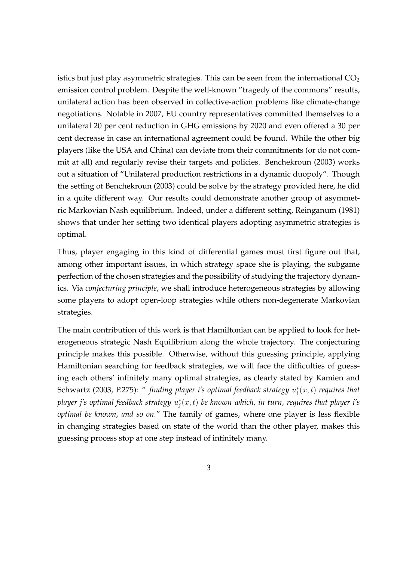istics but just play asymmetric strategies. This can be seen from the international  $CO<sub>2</sub>$ emission control problem. Despite the well-known "tragedy of the commons" results, unilateral action has been observed in collective-action problems like climate-change negotiations. Notable in 2007, EU country representatives committed themselves to a unilateral 20 per cent reduction in GHG emissions by 2020 and even offered a 30 per cent decrease in case an international agreement could be found. While the other big players (like the USA and China) can deviate from their commitments (or do not commit at all) and regularly revise their targets and policies. Benchekroun (2003) works out a situation of "Unilateral production restrictions in a dynamic duopoly". Though the setting of Benchekroun (2003) could be solve by the strategy provided here, he did in a quite different way. Our results could demonstrate another group of asymmetric Markovian Nash equilibrium. Indeed, under a different setting, Reinganum (1981) shows that under her setting two identical players adopting asymmetric strategies is optimal.

Thus, player engaging in this kind of differential games must first figure out that, among other important issues, in which strategy space she is playing, the subgame perfection of the chosen strategies and the possibility of studying the trajectory dynamics. Via *conjecturing principle*, we shall introduce heterogeneous strategies by allowing some players to adopt open-loop strategies while others non-degenerate Markovian strategies.

The main contribution of this work is that Hamiltonian can be applied to look for heterogeneous strategic Nash Equilibrium along the whole trajectory. The conjecturing principle makes this possible. Otherwise, without this guessing principle, applying Hamiltonian searching for feedback strategies, we will face the difficulties of guessing each others' infinitely many optimal strategies, as clearly stated by Kamien and Schwartz (2003, P.275): " *finding player i's optimal feedback strategy u ∗ i* (*x, t*) *requires that player j's optimal feedback strategy u ∗ j* (*x, t*) *be known which, in turn, requires that player i's optimal be known, and so on.*" The family of games, where one player is less flexible in changing strategies based on state of the world than the other player, makes this guessing process stop at one step instead of infinitely many.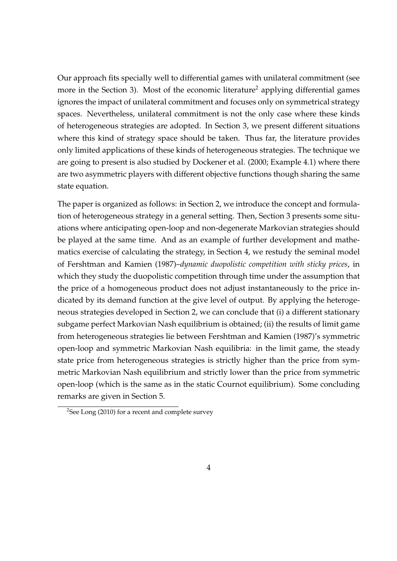Our approach fits specially well to differential games with unilateral commitment (see more in the Section 3). Most of the economic literature<sup>2</sup> applying differential games ignores the impact of unilateral commitment and focuses only on symmetrical strategy spaces. Nevertheless, unilateral commitment is not the only case where these kinds of heterogeneous strategies are adopted. In Section 3, we present different situations where this kind of strategy space should be taken. Thus far, the literature provides only limited applications of these kinds of heterogeneous strategies. The technique we are going to present is also studied by Dockener et al. (2000; Example 4.1) where there are two asymmetric players with different objective functions though sharing the same state equation.

The paper is organized as follows: in Section 2, we introduce the concept and formulation of heterogeneous strategy in a general setting. Then, Section 3 presents some situations where anticipating open-loop and non-degenerate Markovian strategies should be played at the same time. And as an example of further development and mathematics exercise of calculating the strategy, in Section 4, we restudy the seminal model of Fershtman and Kamien (1987)–*dynamic duopolistic competition with sticky prices*, in which they study the duopolistic competition through time under the assumption that the price of a homogeneous product does not adjust instantaneously to the price indicated by its demand function at the give level of output. By applying the heterogeneous strategies developed in Section 2, we can conclude that (i) a different stationary subgame perfect Markovian Nash equilibrium is obtained; (ii) the results of limit game from heterogeneous strategies lie between Fershtman and Kamien (1987)'s symmetric open-loop and symmetric Markovian Nash equilibria: in the limit game, the steady state price from heterogeneous strategies is strictly higher than the price from symmetric Markovian Nash equilibrium and strictly lower than the price from symmetric open-loop (which is the same as in the static Cournot equilibrium). Some concluding remarks are given in Section 5.

<sup>&</sup>lt;sup>2</sup>See Long (2010) for a recent and complete survey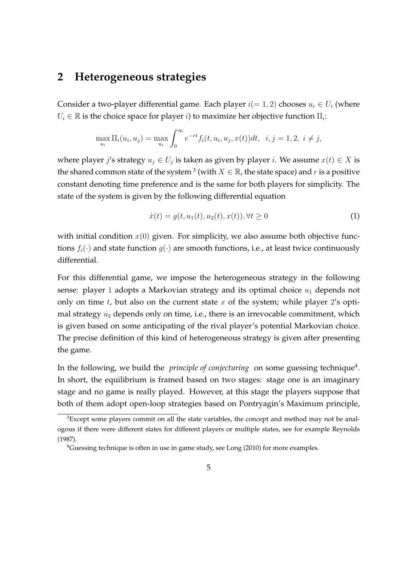# **2 Heterogeneous strategies**

Consider a two-player differential game. Each player  $i(= 1, 2)$  chooses  $u_i \in U_i$  (where  $U_i \in \mathbb{R}$  is the choice space for player *i*) to maximize her objective function  $\Pi_i$ :

$$
\max_{u_i} \Pi_i(u_i, u_j) = \max_{u_i} \int_0^\infty e^{-rt} f_i(t, u_i, u_j, x(t)) dt, \ \ i, j = 1, 2, \ i \neq j,
$$

where player *j's* strategy  $u_j \in U_j$  is taken as given by player *i*. We assume  $x(t) \in X$  is the shared common state of the system  $^3$  (with  $X \in \mathbb{R}$ , the state space) and  $r$  is a positive constant denoting time preference and is the same for both players for simplicity. The state of the system is given by the following differential equation

$$
\dot{x}(t) = g(t, u_1(t), u_2(t), x(t)), \forall t \ge 0 \tag{1}
$$

with initial condition  $x(0)$  given. For simplicity, we also assume both objective functions  $f_i(\cdot)$  and state function  $g(\cdot)$  are smooth functions, i.e., at least twice continuously differential.

For this differential game, we impose the heterogeneous strategy in the following sense: player 1 adopts a Markovian strategy and its optimal choice  $u_1$  depends not only on time *t*, but also on the current state *x* of the system; while player 2's optimal strategy *u*<sup>2</sup> depends only on time, i.e., there is an irrevocable commitment, which is given based on some anticipating of the rival player's potential Markovian choice. The precise definition of this kind of heterogeneous strategy is given after presenting the game.

In the following, we build the *principle of conjecturing* on some guessing technique<sup>4</sup>. In short, the equilibrium is framed based on two stages: stage one is an imaginary stage and no game is really played. However, at this stage the players suppose that both of them adopt open-loop strategies based on Pontryagin's Maximum principle,

<sup>&</sup>lt;sup>3</sup>Except some players commit on all the state variables, the concept and method may not be analogous if there were different states for different players or multiple states, see for example Reynolds (1987).

<sup>&</sup>lt;sup>4</sup>Guessing technique is often in use in game study, see Long (2010) for more examples.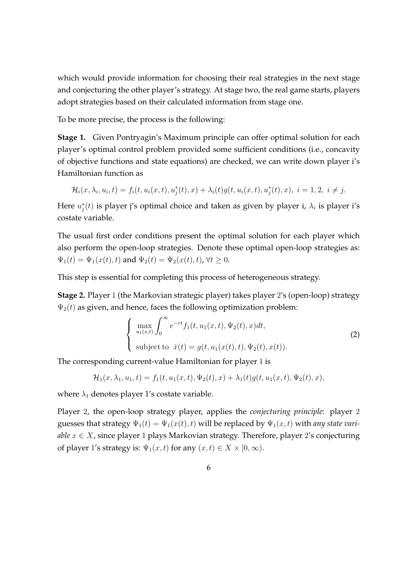which would provide information for choosing their real strategies in the next stage and conjecturing the other player's strategy. At stage two, the real game starts, players adopt strategies based on their calculated information from stage one.

To be more precise, the process is the following:

**Stage 1.** Given Pontryagin's Maximum principle can offer optimal solution for each player's optimal control problem provided some sufficient conditions (i.e., concavity of objective functions and state equations) are checked, we can write down player i's Hamiltonian function as

$$
\mathcal{H}_i(x, \lambda_i, u_i, t) = f_i(t, u_i(x, t), u_j^*(t), x) + \lambda_i(t)g(t, u_i(x, t), u_j^*(t), x), i = 1, 2, i \neq j.
$$

Here  $u_j^*(t)$  is player j's optimal choice and taken as given by player i,  $\lambda_i$  is player i's costate variable.

The usual first order conditions present the optimal solution for each player which also perform the open-loop strategies. Denote these optimal open-loop strategies as:  $\Psi_1(t) = \Psi_1(x(t), t)$  and  $\Psi_2(t) = \Psi_2(x(t), t)$ ,  $\forall t \geq 0$ .

This step is essential for completing this process of heterogeneous strategy.

**Stage 2.** Player 1 (the Markovian strategic player) takes player 2's (open-loop) strategy  $\Psi_2(t)$  as given, and hence, faces the following optimization problem:

$$
\begin{cases}\n\max_{u_1(x,t)} \int_0^\infty e^{-rt} f_1(t, u_1(x,t), \Psi_2(t), x) dt, \\
\text{subject to } \dot{x}(t) = g(t, u_1(x(t), t), \Psi_2(t), x(t)).\n\end{cases}
$$
\n(2)

The corresponding current-value Hamiltonian for player 1 is

$$
\mathcal{H}_1(x,\lambda_1,u_1,t) = f_1(t,u_1(x,t),\Psi_2(t),x) + \lambda_1(t)g(t,u_1(x,t),\Psi_2(t),x),
$$

where  $\lambda_1$  denotes player 1's costate variable.

Player 2, the open-loop strategy player, applies the *conjecturing principle*: player 2 guesses that strategy  $\Psi_1(t) = \Psi_1(x(t), t)$  will be replaced by  $\Psi_1(x, t)$  with *any state variable*  $x \in X$ , since player 1 plays Markovian strategy. Therefore, player 2's conjecturing of player 1's strategy is:  $\Psi_1(x,t)$  for any  $(x,t) \in X \times [0,\infty)$ .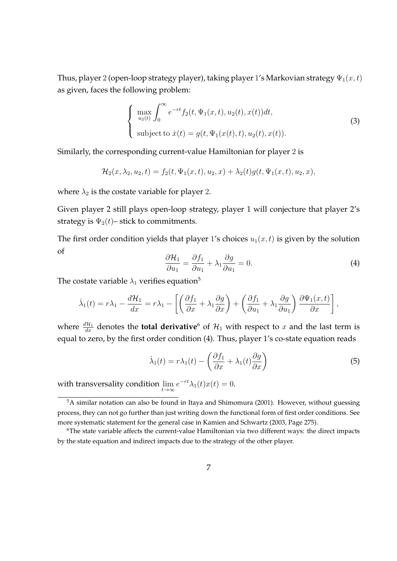Thus, player 2 (open-loop strategy player), taking player 1's Markovian strategy  $\Psi_1(x,t)$ as given, faces the following problem:

$$
\begin{cases}\n\max_{u_2(t)} \int_0^\infty e^{-rt} f_2(t, \Psi_1(x, t), u_2(t), x(t)) dt, \\
\text{subject to } \dot{x}(t) = g(t, \Psi_1(x(t), t), u_2(t), x(t)).\n\end{cases}
$$
\n(3)

Similarly, the corresponding current-value Hamiltonian for player 2 is

$$
\mathcal{H}_2(x,\lambda_2,u_2,t) = f_2(t,\Psi_1(x,t),u_2,x) + \lambda_2(t)g(t,\Psi_1(x,t),u_2,x),
$$

where  $\lambda_2$  is the costate variable for player 2.

Given player 2 still plays open-loop strategy, player 1 will conjecture that player 2's strategy is  $\Psi_2(t)$ – stick to commitments.

The first order condition yields that player 1's choices  $u_1(x, t)$  is given by the solution of *∂f*<sup>1</sup>

$$
\frac{\partial \mathcal{H}_1}{\partial u_1} = \frac{\partial f_1}{\partial u_1} + \lambda_1 \frac{\partial g}{\partial u_1} = 0.
$$
 (4)

*,*

The costate variable  $\lambda_1$  verifies equation<sup>5</sup>

$$
\dot{\lambda}_1(t) = r\lambda_1 - \frac{d\mathcal{H}_1}{dx} = r\lambda_1 - \left[ \left( \frac{\partial f_1}{\partial x} + \lambda_1 \frac{\partial g}{\partial x} \right) + \left( \frac{\partial f_1}{\partial u_1} + \lambda_1 \frac{\partial g}{\partial u_1} \right) \frac{\partial \Psi_1(x, t)}{\partial x} \right]
$$

where  $\frac{d\mathcal{H}_1}{dx}$  denotes the **total derivative**<sup>6</sup> of  $\mathcal{H}_1$  with respect to *x* and the last term is equal to zero, by the first order condition (4). Thus, player 1's co-state equation reads

$$
\dot{\lambda}_1(t) = r\lambda_1(t) - \left(\frac{\partial f_1}{\partial x} + \lambda_1(t)\frac{\partial g}{\partial x}\right)
$$
\n(5)

with transversality condition lim *t→∞*  $e^{-rt}\lambda_1(t)x(t) = 0.$ 

<sup>&</sup>lt;sup>5</sup>A similar notation can also be found in Itaya and Shimomura (2001). However, without guessing process, they can not go further than just writing down the functional form of first order conditions. See more systematic statement for the general case in Kamien and Schwartz (2003, Page 275).

<sup>&</sup>lt;sup>6</sup>The state variable affects the current-value Hamiltonian via two different ways: the direct impacts by the state equation and indirect impacts due to the strategy of the other player.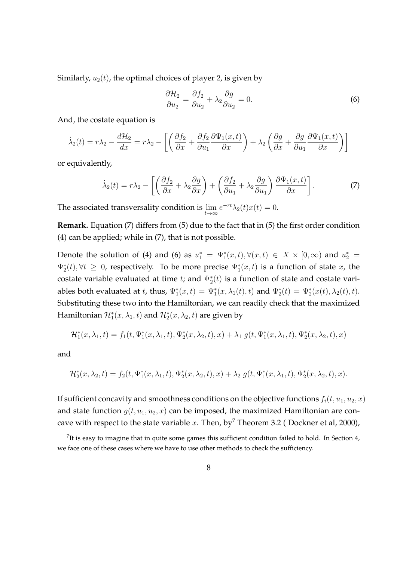Similarly,  $u_2(t)$ , the optimal choices of player 2, is given by

$$
\frac{\partial \mathcal{H}_2}{\partial u_2} = \frac{\partial f_2}{\partial u_2} + \lambda_2 \frac{\partial g}{\partial u_2} = 0.
$$
 (6)

And, the costate equation is

$$
\dot{\lambda}_2(t) = r\lambda_2 - \frac{d\mathcal{H}_2}{dx} = r\lambda_2 - \left[ \left( \frac{\partial f_2}{\partial x} + \frac{\partial f_2}{\partial u_1} \frac{\partial \Psi_1(x,t)}{\partial x} \right) + \lambda_2 \left( \frac{\partial g}{\partial x} + \frac{\partial g}{\partial u_1} \frac{\partial \Psi_1(x,t)}{\partial x} \right) \right]
$$

or equivalently,

$$
\dot{\lambda}_2(t) = r\lambda_2 - \left[ \left( \frac{\partial f_2}{\partial x} + \lambda_2 \frac{\partial g}{\partial x} \right) + \left( \frac{\partial f_2}{\partial u_1} + \lambda_2 \frac{\partial g}{\partial u_1} \right) \frac{\partial \Psi_1(x, t)}{\partial x} \right].
$$
\n(7)

The associated transversality condition is lim *t→∞*  $e^{-rt}\lambda_2(t)x(t) = 0.$ 

**Remark.** Equation (7) differs from (5) due to the fact that in (5) the first order condition (4) can be applied; while in (7), that is not possible.

Denote the solution of (4) and (6) as  $u_1^* = \Psi_1^*(x,t), \forall (x,t) \in X \times [0,\infty)$  and  $u_2^* =$  $\Psi_2^*(t)$ ,  $\forall t \geq 0$ , respectively. To be more precise  $\Psi_1^*(x,t)$  is a function of state *x*, the costate variable evaluated at time *t*; and  $\Psi_2^*(t)$  is a function of state and costate variables both evaluated at *t*, thus,  $\Psi_1^*(x,t) = \Psi_1^*(x,\lambda_1(t),t)$  and  $\Psi_2^*(t) = \Psi_2^*(x(t),\lambda_2(t),t)$ . Substituting these two into the Hamiltonian, we can readily check that the maximized Hamiltonian  $\mathcal{H}_{1}^{*}(x,\lambda_{1},t)$  and  $\mathcal{H}_{2}^{*}(x,\lambda_{2},t)$  are given by

$$
\mathcal{H}_1^*(x,\lambda_1,t) = f_1(t,\Psi_1^*(x,\lambda_1,t),\Psi_2^*(x,\lambda_2,t),x) + \lambda_1 g(t,\Psi_1^*(x,\lambda_1,t),\Psi_2^*(x,\lambda_2,t),x)
$$

and

$$
\mathcal{H}_2^*(x,\lambda_2,t) = f_2(t,\Psi_1^*(x,\lambda_1,t),\Psi_2^*(x,\lambda_2,t),x) + \lambda_2 g(t,\Psi_1^*(x,\lambda_1,t),\Psi_2^*(x,\lambda_2,t),x).
$$

If sufficient concavity and smoothness conditions on the objective functions  $f_i(t, u_1, u_2, x)$ and state function  $g(t, u_1, u_2, x)$  can be imposed, the maximized Hamiltonian are concave with respect to the state variable  $x$ . Then, by<sup>7</sup> Theorem 3.2 (Dockner et al, 2000),

<sup>&</sup>lt;sup>7</sup>It is easy to imagine that in quite some games this sufficient condition failed to hold. In Section 4, we face one of these cases where we have to use other methods to check the sufficiency.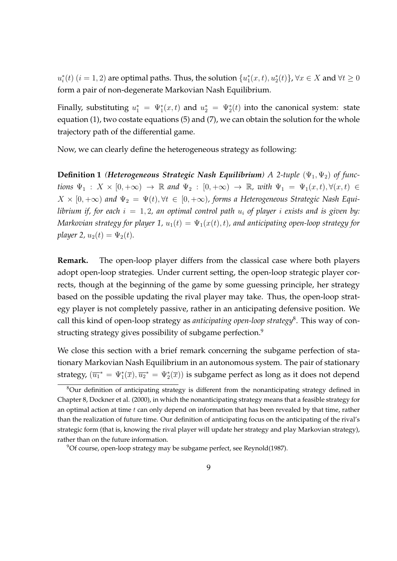$u_i^*(t)$   $(i = 1,2)$  are optimal paths. Thus, the solution  $\{u_1^*(x,t), u_2^*(t)\}$ ,  $\forall x \in X$  and  $\forall t \geq 0$ form a pair of non-degenerate Markovian Nash Equilibrium.

Finally, substituting  $u_1^* = \Psi_1^*(x,t)$  and  $u_2^* = \Psi_2^*(t)$  into the canonical system: state equation (1), two costate equations (5) and (7), we can obtain the solution for the whole trajectory path of the differential game.

Now, we can clearly define the heterogeneous strategy as following:

**Definition 1** *(Heterogeneous Strategic Nash Equilibrium)* A 2-tuple  $(\Psi_1, \Psi_2)$  of func*tions*  $\Psi_1$  :  $X \times [0, +\infty) \to \mathbb{R}$  and  $\Psi_2$  :  $[0, +\infty) \to \mathbb{R}$ , with  $\Psi_1 = \Psi_1(x, t), \forall (x, t) \in$  $X \times [0, +\infty)$  and  $\Psi_2 = \Psi(t), \forall t \in [0, +\infty)$ , forms a Heterogeneous Strategic Nash Equi*librium if, for each*  $i = 1, 2$ , an optimal control path  $u_i$  of player *i* exists and is given by: *Markovian strategy for player 1,*  $u_1(t) = \Psi_1(x(t), t)$ , and anticipating open-loop strategy for *player* 2,  $u_2(t) = \Psi_2(t)$ .

**Remark.** The open-loop player differs from the classical case where both players adopt open-loop strategies. Under current setting, the open-loop strategic player corrects, though at the beginning of the game by some guessing principle, her strategy based on the possible updating the rival player may take. Thus, the open-loop strategy player is not completely passive, rather in an anticipating defensive position. We call this kind of open-loop strategy as *anticipating open-loop strategy*<sup>8</sup> . This way of constructing strategy gives possibility of subgame perfection.<sup>9</sup>

We close this section with a brief remark concerning the subgame perfection of stationary Markovian Nash Equilibrium in an autonomous system. The pair of stationary strategy,  $(\overline{u_1}^*=\Psi_1^*(\overline{x}), \overline{u_2}^*=\Psi_2^*(\overline{x}))$  is subgame perfect as long as it does not depend

<sup>&</sup>lt;sup>8</sup>Our definition of anticipating strategy is different from the nonanticipating strategy defined in Chapter 8, Dockner et al. (2000), in which the nonanticipating strategy means that a feasible strategy for an optimal action at time *t* can only depend on information that has been revealed by that time, rather than the realization of future time. Our definition of anticipating focus on the anticipating of the rival's strategic form (that is, knowing the rival player will update her strategy and play Markovian strategy), rather than on the future information.

<sup>9</sup>Of course, open-loop strategy may be subgame perfect, see Reynold(1987).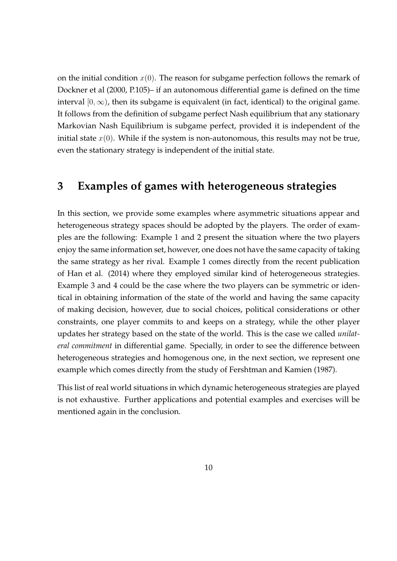on the initial condition  $x(0)$ . The reason for subgame perfection follows the remark of Dockner et al (2000, P.105)– if an autonomous differential game is defined on the time interval  $[0, \infty)$ , then its subgame is equivalent (in fact, identical) to the original game. It follows from the definition of subgame perfect Nash equilibrium that any stationary Markovian Nash Equilibrium is subgame perfect, provided it is independent of the initial state  $x(0)$ . While if the system is non-autonomous, this results may not be true, even the stationary strategy is independent of the initial state.

# **3 Examples of games with heterogeneous strategies**

In this section, we provide some examples where asymmetric situations appear and heterogeneous strategy spaces should be adopted by the players. The order of examples are the following: Example 1 and 2 present the situation where the two players enjoy the same information set, however, one does not have the same capacity of taking the same strategy as her rival. Example 1 comes directly from the recent publication of Han et al. (2014) where they employed similar kind of heterogeneous strategies. Example 3 and 4 could be the case where the two players can be symmetric or identical in obtaining information of the state of the world and having the same capacity of making decision, however, due to social choices, political considerations or other constraints, one player commits to and keeps on a strategy, while the other player updates her strategy based on the state of the world. This is the case we called *unilateral commitment* in differential game. Specially, in order to see the difference between heterogeneous strategies and homogenous one, in the next section, we represent one example which comes directly from the study of Fershtman and Kamien (1987).

This list of real world situations in which dynamic heterogeneous strategies are played is not exhaustive. Further applications and potential examples and exercises will be mentioned again in the conclusion.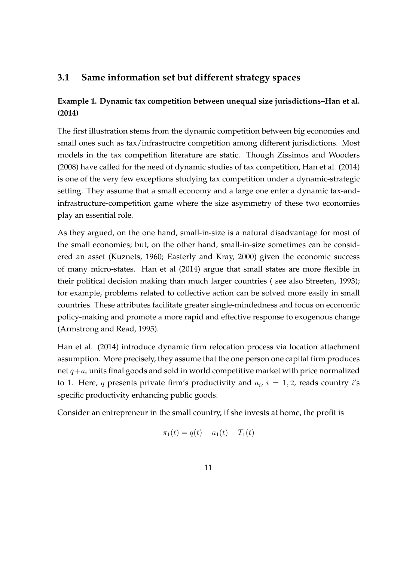#### **3.1 Same information set but different strategy spaces**

#### **Example 1. Dynamic tax competition between unequal size jurisdictions–Han et al. (2014)**

The first illustration stems from the dynamic competition between big economies and small ones such as tax/infrastructre competition among different jurisdictions. Most models in the tax competition literature are static. Though Zissimos and Wooders (2008) have called for the need of dynamic studies of tax competition, Han et al. (2014) is one of the very few exceptions studying tax competition under a dynamic-strategic setting. They assume that a small economy and a large one enter a dynamic tax-andinfrastructure-competition game where the size asymmetry of these two economies play an essential role.

As they argued, on the one hand, small-in-size is a natural disadvantage for most of the small economies; but, on the other hand, small-in-size sometimes can be considered an asset (Kuznets, 1960; Easterly and Kray, 2000) given the economic success of many micro-states. Han et al (2014) argue that small states are more flexible in their political decision making than much larger countries ( see also Streeten, 1993); for example, problems related to collective action can be solved more easily in small countries. These attributes facilitate greater single-mindedness and focus on economic policy-making and promote a more rapid and effective response to exogenous change (Armstrong and Read, 1995).

Han et al. (2014) introduce dynamic firm relocation process via location attachment assumption. More precisely, they assume that the one person one capital firm produces net  $q + a_i$  units final goods and sold in world competitive market with price normalized to 1. Here,  $q$  presents private firm's productivity and  $a_i$ ,  $i = 1, 2$ , reads country  $i$ 's specific productivity enhancing public goods.

Consider an entrepreneur in the small country, if she invests at home, the profit is

$$
\pi_1(t) = q(t) + a_1(t) - T_1(t)
$$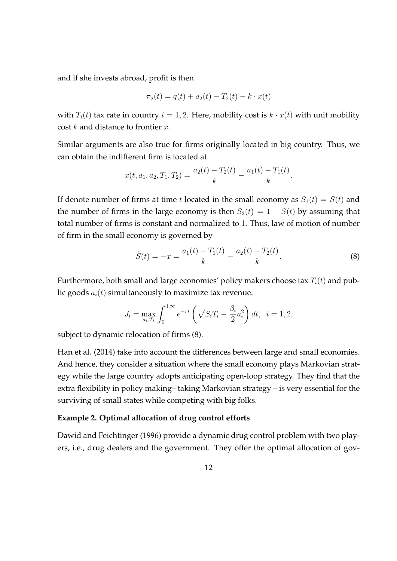and if she invests abroad, profit is then

$$
\pi_2(t) = q(t) + a_2(t) - T_2(t) - k \cdot x(t)
$$

with  $T_i(t)$  tax rate in country  $i = 1, 2$ . Here, mobility cost is  $k \cdot x(t)$  with unit mobility cost *k* and distance to frontier *x*.

Similar arguments are also true for firms originally located in big country. Thus, we can obtain the indifferent firm is located at

$$
x(t, a_1, a_2, T_1, T_2) = \frac{a_2(t) - T_2(t)}{k} - \frac{a_1(t) - T_1(t)}{k}.
$$

If denote number of firms at time *t* located in the small economy as  $S_1(t) = S(t)$  and the number of firms in the large economy is then  $S_2(t) = 1 - S(t)$  by assuming that total number of firms is constant and normalized to 1. Thus, law of motion of number of firm in the small economy is governed by

$$
\dot{S}(t) = -x = \frac{a_1(t) - T_1(t)}{k} - \frac{a_2(t) - T_2(t)}{k}.
$$
\n(8)

Furthermore, both small and large economies' policy makers choose tax *Ti*(*t*) and public goods  $a_i(t)$  simultaneously to maximize tax revenue:

$$
J_i = \max_{a_i, T_i} \int_0^{+\infty} e^{-rt} \left( \sqrt{S_i T_i} - \frac{\beta_i}{2} a_i^2 \right) dt, \ \ i = 1, 2,
$$

subject to dynamic relocation of firms (8).

Han et al. (2014) take into account the differences between large and small economies. And hence, they consider a situation where the small economy plays Markovian strategy while the large country adopts anticipating open-loop strategy. They find that the extra flexibility in policy making– taking Markovian strategy – is very essential for the surviving of small states while competing with big folks.

#### **Example 2. Optimal allocation of drug control efforts**

Dawid and Feichtinger (1996) provide a dynamic drug control problem with two players, i.e., drug dealers and the government. They offer the optimal allocation of gov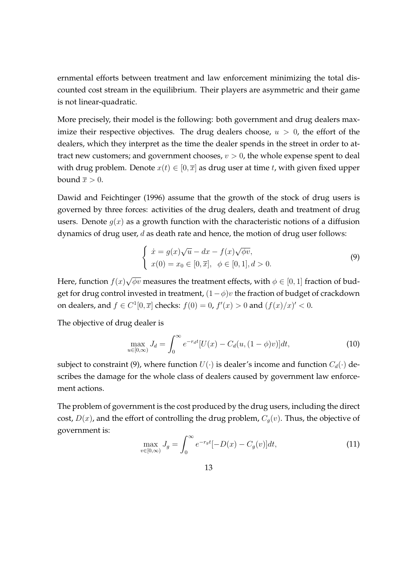ernmental efforts between treatment and law enforcement minimizing the total discounted cost stream in the equilibrium. Their players are asymmetric and their game is not linear-quadratic.

More precisely, their model is the following: both government and drug dealers maximize their respective objectives. The drug dealers choose,  $u > 0$ , the effort of the dealers, which they interpret as the time the dealer spends in the street in order to attract new customers; and government chooses,  $v > 0$ , the whole expense spent to deal with drug problem. Denote  $x(t) \in [0, \bar{x}]$  as drug user at time *t*, with given fixed upper bound  $\overline{x} > 0$ .

Dawid and Feichtinger (1996) assume that the growth of the stock of drug users is governed by three forces: activities of the drug dealers, death and treatment of drug users. Denote  $g(x)$  as a growth function with the characteristic notions of a diffusion dynamics of drug user, *d* as death rate and hence, the motion of drug user follows:

$$
\begin{cases}\n\dot{x} = g(x)\sqrt{u} - dx - f(x)\sqrt{\phi v}, \\
x(0) = x_0 \in [0, \overline{x}], \quad \phi \in [0, 1], d > 0.\n\end{cases}
$$
\n(9)

Here, function *f*(*x*) *√*  $\overline{\phi v}$  measures the treatment effects, with  $\phi \in [0,1]$  fraction of budget for drug control invested in treatment, (1*−ϕ*)*v* the fraction of budget of crackdown on dealers, and  $f \in C^1[0,\overline{x}]$  checks:  $f(0) = 0$ ,  $f'(x) > 0$  and  $(f(x)/x)' < 0$ .

The objective of drug dealer is

$$
\max_{u \in [0,\infty)} J_d = \int_0^\infty e^{-r_d t} [U(x) - C_d(u, (1-\phi)v)] dt,
$$
\n(10)

subject to constraint (9), where function  $U(\cdot)$  is dealer's income and function  $C_d(\cdot)$  describes the damage for the whole class of dealers caused by government law enforcement actions.

The problem of government is the cost produced by the drug users, including the direct cost,  $D(x)$ , and the effort of controlling the drug problem,  $C_g(v)$ . Thus, the objective of government is:

$$
\max_{v \in [0,\infty)} J_g = \int_0^\infty e^{-r_g t} [-D(x) - C_g(v)] dt,\tag{11}
$$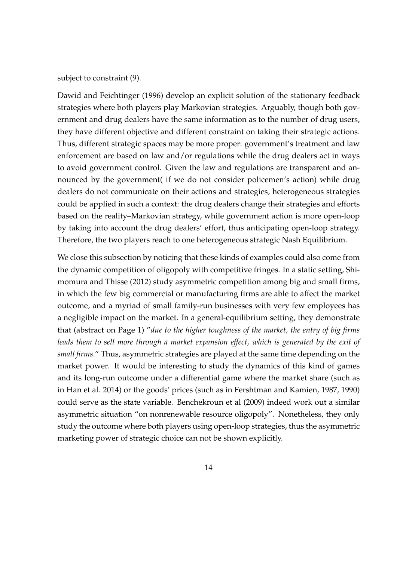subject to constraint (9).

Dawid and Feichtinger (1996) develop an explicit solution of the stationary feedback strategies where both players play Markovian strategies. Arguably, though both government and drug dealers have the same information as to the number of drug users, they have different objective and different constraint on taking their strategic actions. Thus, different strategic spaces may be more proper: government's treatment and law enforcement are based on law and/or regulations while the drug dealers act in ways to avoid government control. Given the law and regulations are transparent and announced by the government( if we do not consider policemen's action) while drug dealers do not communicate on their actions and strategies, heterogeneous strategies could be applied in such a context: the drug dealers change their strategies and efforts based on the reality–Markovian strategy, while government action is more open-loop by taking into account the drug dealers' effort, thus anticipating open-loop strategy. Therefore, the two players reach to one heterogeneous strategic Nash Equilibrium.

We close this subsection by noticing that these kinds of examples could also come from the dynamic competition of oligopoly with competitive fringes. In a static setting, Shimomura and Thisse (2012) study asymmetric competition among big and small firms, in which the few big commercial or manufacturing firms are able to affect the market outcome, and a myriad of small family-run businesses with very few employees has a negligible impact on the market. In a general-equilibrium setting, they demonstrate that (abstract on Page 1) "*due to the higher toughness of the market, the entry of big firms leads them to sell more through a market expansion effect, which is generated by the exit of small firms*." Thus, asymmetric strategies are played at the same time depending on the market power. It would be interesting to study the dynamics of this kind of games and its long-run outcome under a differential game where the market share (such as in Han et al. 2014) or the goods' prices (such as in Fershtman and Kamien, 1987, 1990) could serve as the state variable. Benchekroun et al (2009) indeed work out a similar asymmetric situation "on nonrenewable resource oligopoly". Nonetheless, they only study the outcome where both players using open-loop strategies, thus the asymmetric marketing power of strategic choice can not be shown explicitly.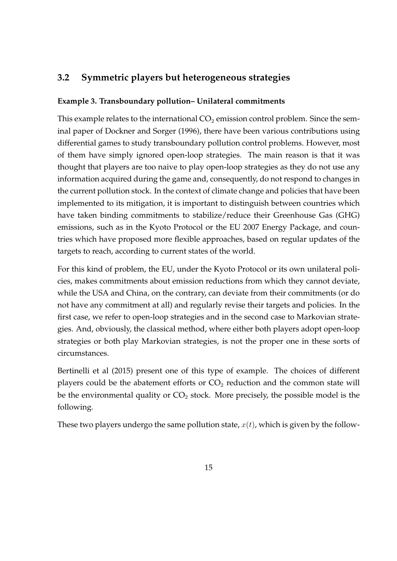#### **3.2 Symmetric players but heterogeneous strategies**

#### **Example 3. Transboundary pollution– Unilateral commitments**

This example relates to the international  $CO<sub>2</sub>$  emission control problem. Since the seminal paper of Dockner and Sorger (1996), there have been various contributions using differential games to study transboundary pollution control problems. However, most of them have simply ignored open-loop strategies. The main reason is that it was thought that players are too naive to play open-loop strategies as they do not use any information acquired during the game and, consequently, do not respond to changes in the current pollution stock. In the context of climate change and policies that have been implemented to its mitigation, it is important to distinguish between countries which have taken binding commitments to stabilize/reduce their Greenhouse Gas (GHG) emissions, such as in the Kyoto Protocol or the EU 2007 Energy Package, and countries which have proposed more flexible approaches, based on regular updates of the targets to reach, according to current states of the world.

For this kind of problem, the EU, under the Kyoto Protocol or its own unilateral policies, makes commitments about emission reductions from which they cannot deviate, while the USA and China, on the contrary, can deviate from their commitments (or do not have any commitment at all) and regularly revise their targets and policies. In the first case, we refer to open-loop strategies and in the second case to Markovian strategies. And, obviously, the classical method, where either both players adopt open-loop strategies or both play Markovian strategies, is not the proper one in these sorts of circumstances.

Bertinelli et al (2015) present one of this type of example. The choices of different players could be the abatement efforts or  $CO<sub>2</sub>$  reduction and the common state will be the environmental quality or  $CO<sub>2</sub>$  stock. More precisely, the possible model is the following.

These two players undergo the same pollution state,  $x(t)$ , which is given by the follow-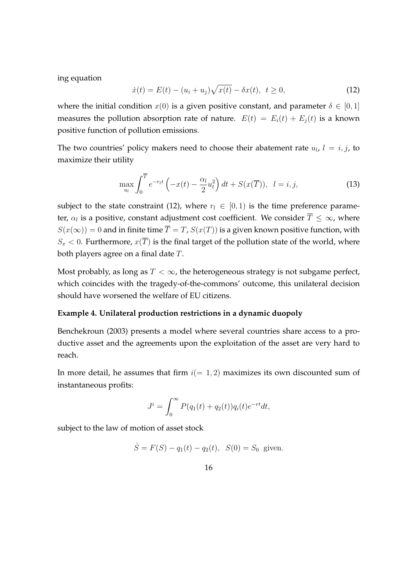ing equation

$$
\dot{x}(t) = E(t) - (u_i + u_j)\sqrt{x(t)} - \delta x(t), \ \ t \ge 0,
$$
\n(12)

where the initial condition  $x(0)$  is a given positive constant, and parameter  $\delta \in [0,1]$ measures the pollution absorption rate of nature.  $E(t) = E_i(t) + E_i(t)$  is a known positive function of pollution emissions.

The two countries' policy makers need to choose their abatement rate  $u_l$ ,  $l = i, j$ , to maximize their utility

$$
\max_{u_l} \int_0^{\overline{T}} e^{-r_l t} \left( -x(t) - \frac{\alpha_l}{2} u_l^2 \right) dt + S(x(\overline{T})), \quad l = i, j,
$$
\n(13)

subject to the state constraint (12), where  $r_l \in [0,1)$  is the time preference parameter, *α<sup>l</sup>* is a positive, constant adjustment cost coefficient. We consider *T ≤ ∞*, where  $S(x(\infty)) = 0$  and in finite time  $\overline{T} = T$ ,  $S(x(T))$  is a given known positive function, with  $S_x < 0$ . Furthermore,  $x(\overline{T})$  is the final target of the pollution state of the world, where both players agree on a final date *T*.

Most probably, as long as  $T < \infty$ , the heterogeneous strategy is not subgame perfect, which coincides with the tragedy-of-the-commons' outcome, this unilateral decision should have worsened the welfare of EU citizens.

#### **Example 4. Unilateral production restrictions in a dynamic duopoly**

Benchekroun (2003) presents a model where several countries share access to a productive asset and the agreements upon the exploitation of the asset are very hard to reach.

In more detail, he assumes that firm  $i(= 1, 2)$  maximizes its own discounted sum of instantaneous profits:

$$
J^{i} = \int_{0}^{\infty} P(q_1(t) + q_2(t))q_i(t)e^{-rt}dt,
$$

subject to the law of motion of asset stock

$$
\dot{S} = F(S) - q_1(t) - q_2(t), S(0) = S_0
$$
 given.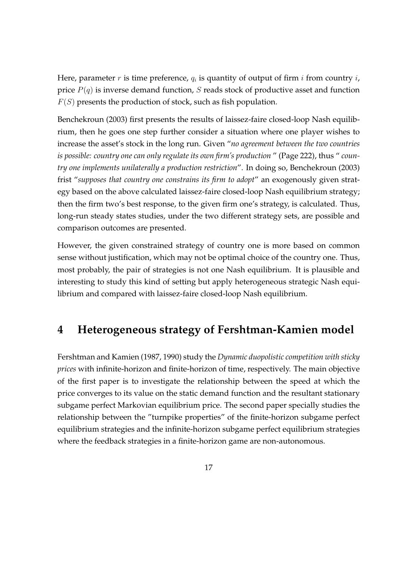Here, parameter *r* is time preference,  $q_i$  is quantity of output of firm *i* from country *i*, price *P*(*q*) is inverse demand function, *S* reads stock of productive asset and function *F*(*S*) presents the production of stock, such as fish population.

Benchekroun (2003) first presents the results of laissez-faire closed-loop Nash equilibrium, then he goes one step further consider a situation where one player wishes to increase the asset's stock in the long run. Given "*no agreement between the two countries is possible: country one can only regulate its own firm's production* " (Page 222), thus " *country one implements unilaterally a production restriction*". In doing so, Benchekroun (2003) frist "*supposes that country one constrains its firm to adopt*" an exogenously given strategy based on the above calculated laissez-faire closed-loop Nash equilibrium strategy; then the firm two's best response, to the given firm one's strategy, is calculated. Thus, long-run steady states studies, under the two different strategy sets, are possible and comparison outcomes are presented.

However, the given constrained strategy of country one is more based on common sense without justification, which may not be optimal choice of the country one. Thus, most probably, the pair of strategies is not one Nash equilibrium. It is plausible and interesting to study this kind of setting but apply heterogeneous strategic Nash equilibrium and compared with laissez-faire closed-loop Nash equilibrium.

# **4 Heterogeneous strategy of Fershtman-Kamien model**

Fershtman and Kamien (1987, 1990) study the *Dynamic duopolistic competition with sticky prices* with infinite-horizon and finite-horizon of time, respectively. The main objective of the first paper is to investigate the relationship between the speed at which the price converges to its value on the static demand function and the resultant stationary subgame perfect Markovian equilibrium price. The second paper specially studies the relationship between the "turnpike properties" of the finite-horizon subgame perfect equilibrium strategies and the infinite-horizon subgame perfect equilibrium strategies where the feedback strategies in a finite-horizon game are non-autonomous.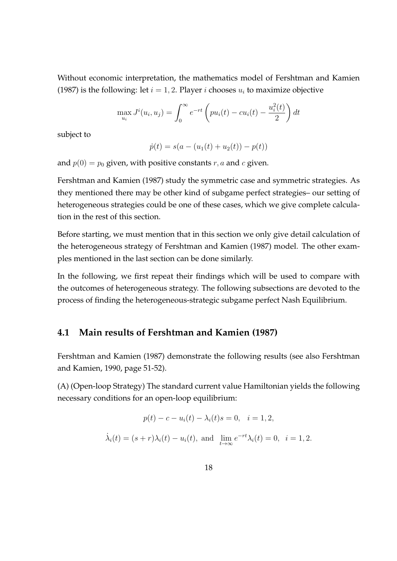Without economic interpretation, the mathematics model of Fershtman and Kamien (1987) is the following: let  $i = 1, 2$ . Player *i* chooses  $u_i$  to maximize objective

$$
\max_{u_i} J^i(u_i, u_j) = \int_0^\infty e^{-rt} \left( pu_i(t) - cu_i(t) - \frac{u_i^2(t)}{2} \right) dt
$$

subject to

$$
\dot{p}(t) = s(a - (u_1(t) + u_2(t)) - p(t))
$$

and  $p(0) = p_0$  given, with positive constants  $r, a$  and  $c$  given.

Fershtman and Kamien (1987) study the symmetric case and symmetric strategies. As they mentioned there may be other kind of subgame perfect strategies– our setting of heterogeneous strategies could be one of these cases, which we give complete calculation in the rest of this section.

Before starting, we must mention that in this section we only give detail calculation of the heterogeneous strategy of Fershtman and Kamien (1987) model. The other examples mentioned in the last section can be done similarly.

In the following, we first repeat their findings which will be used to compare with the outcomes of heterogeneous strategy. The following subsections are devoted to the process of finding the heterogeneous-strategic subgame perfect Nash Equilibrium.

#### **4.1 Main results of Fershtman and Kamien (1987)**

Fershtman and Kamien (1987) demonstrate the following results (see also Fershtman and Kamien, 1990, page 51-52).

(A) (Open-loop Strategy) The standard current value Hamiltonian yields the following necessary conditions for an open-loop equilibrium:

$$
p(t) - c - u_i(t) - \lambda_i(t)s = 0, \quad i = 1, 2,
$$
  

$$
\dot{\lambda}_i(t) = (s + r)\lambda_i(t) - u_i(t), \text{ and } \lim_{t \to \infty} e^{-rt} \lambda_i(t) = 0, \quad i = 1, 2.
$$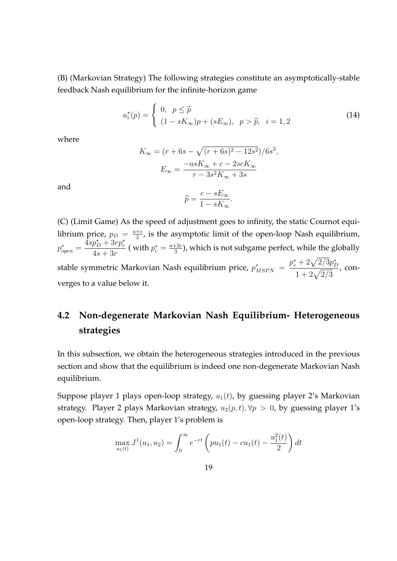(B) (Markovian Strategy) The following strategies constitute an asymptotically-stable feedback Nash equilibrium for the infinite-horizon game

$$
u_i^*(p) = \begin{cases} 0, & p \le \hat{p} \\ (1 - sK_{\infty})p + (sE_{\infty}), & p > \hat{p}, \ i = 1, 2 \end{cases}
$$
 (14)

where

$$
K_{\infty} = (r + 6s - \sqrt{(r + 6s)^2 - 12s^2})/6s^2,
$$
  

$$
E_{\infty} = \frac{-asK_{\infty} + c - 2scK_{\infty}}{r - 3s^2K_{\infty} + 3s}
$$

and

$$
\widehat{p} = \frac{c - sE_{\infty}}{1 - sK_{\infty}}.
$$

(C) (Limit Game) As the speed of adjustment goes to infinity, the static Cournot equilibrium price,  $p_D = \frac{a+c}{2}$  $\frac{+e}{2}$ , is the asymptotic limit of the open-loop Nash equilibrium,  $p_{open}^* =$  $4sp_D^* + 3rp_c^*$  $\frac{\mu_D + 3r}{4s + 3r}$  ( with  $p_c^* = \frac{a + 2c}{3}$  $\frac{+2c}{3}$ ), which is not subgame perfect, while the globally **stable symmetric Markovian Nash equilibrium price,**  $p^*_{MSPN} =$  $p_c^* + 2\sqrt{2/3}p_D^*$  $1 + 2\sqrt{2/3}$ , converges to a value below it.

# **4.2 Non-degenerate Markovian Nash Equilibrium- Heterogeneous strategies**

In this subsection, we obtain the heterogeneous strategies introduced in the previous section and show that the equilibrium is indeed one non-degenerate Markovian Nash equilibrium.

Suppose player 1 plays open-loop strategy,  $u_1(t)$ , by guessing player 2's Markovian strategy. Player 2 plays Markovian strategy,  $u_2(p, t)$ ,  $\forall p > 0$ , by guessing player 1's open-loop strategy. Then, player 1's problem is

$$
\max_{u_1(t)} J^1(u_1, u_2) = \int_0^\infty e^{-rt} \left( pu_1(t) - cu_1(t) - \frac{u_1^2(t)}{2} \right) dt
$$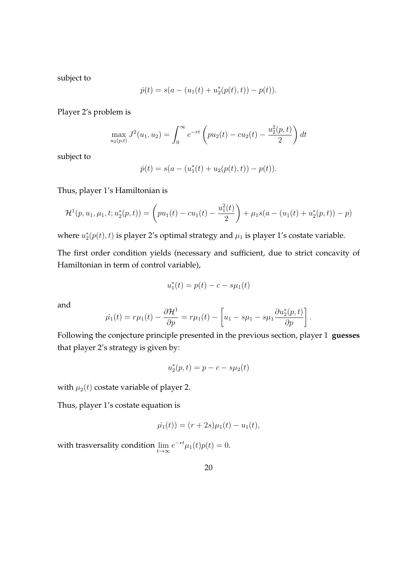subject to

$$
\dot{p}(t) = s(a - (u_1(t) + u_2^*(p(t), t)) - p(t)).
$$

Player 2's problem is

$$
\max_{u_2(p,t)} J^2(u_1, u_2) = \int_0^\infty e^{-rt} \left( pu_2(t) - cu_2(t) - \frac{u_2^2(p,t)}{2} \right) dt
$$

subject to

$$
\dot{p}(t) = s(a - (u_1^*(t) + u_2(p(t), t)) - p(t)).
$$

Thus, player 1's Hamiltonian is

$$
\mathcal{H}^{1}(p, u_{1}, \mu_{1}, t; u_{2}^{*}(p, t)) = \left(pu_{1}(t) - cu_{1}(t) - \frac{u_{1}^{2}(t)}{2}\right) + \mu_{1}s(a - (u_{1}(t) + u_{2}^{*}(p, t)) - p)
$$

where  $u_2^*(p(t), t)$  is player 2's optimal strategy and  $\mu_1$  is player 1's costate variable.

The first order condition yields (necessary and sufficient, due to strict concavity of Hamiltonian in term of control variable),

$$
u_1^*(t) = p(t) - c - s\mu_1(t)
$$

and

$$
\dot{\mu_1}(t) = r\mu_1(t) - \frac{\partial \mathcal{H}^1}{\partial p} = r\mu_1(t) - \left[ u_1 - s\mu_1 - s\mu_1 \frac{\partial u_2^*(p, t)}{\partial p} \right].
$$

Following the conjecture principle presented in the previous section, player 1 **guesses** that player 2's strategy is given by:

$$
u_2^*(p, t) = p - c - s\mu_2(t)
$$

with  $\mu_2(t)$  costate variable of player 2.

Thus, player 1's costate equation is

$$
\dot{\mu_1}(t)) = (r+2s)\mu_1(t) - u_1(t),
$$

with trasversality condition lim *t→∞*  $e^{-rt}\mu_1(t)p(t) = 0.$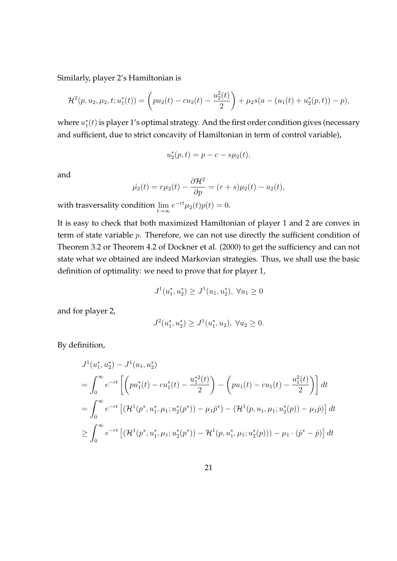Similarly, player 2's Hamiltonian is

$$
\mathcal{H}^{2}(p, u_{2}, \mu_{2}, t; u_{1}^{*}(t)) = \left(p u_{2}(t) - c u_{2}(t) - \frac{u_{2}^{2}(t)}{2}\right) + \mu_{2} s(a - (u_{1}(t) + u_{2}^{*}(p, t)) - p),
$$

where  $u_1^*(t)$  is player 1's optimal strategy. And the first order condition gives (necessary and sufficient, due to strict concavity of Hamiltonian in term of control variable),

$$
u_2^*(p,t) = p - c - s\mu_2(t),
$$

and

$$
\dot{\mu_2}(t) = r\mu_2(t) - \frac{\partial \mathcal{H}^2}{\partial p} = (r+s)\mu_2(t) - u_2(t),
$$

with trasversality condition lim *t→∞*  $e^{-rt}\mu_2(t)p(t) = 0.$ 

It is easy to check that both maximized Hamiltonian of player 1 and 2 are convex in term of state variable *p*. Therefore, we can not use directly the sufficient condition of Theorem 3.2 or Theorem 4.2 of Dockner et al. (2000) to get the sufficiency and can not state what we obtained are indeed Markovian strategies. Thus, we shall use the basic definition of optimality: we need to prove that for player 1,

$$
J^{1}(u_{1}^{*}, u_{2}^{*}) \geq J^{1}(u_{1}, u_{2}^{*}), \ \forall u_{1} \geq 0
$$

and for player 2,

$$
J^{2}(u_{1}^{*}, u_{2}^{*}) \geq J^{1}(u_{1}^{*}, u_{2}), \ \forall u_{2} \geq 0.
$$

By definition,

$$
J^{1}(u_{1}^{*}, u_{2}^{*}) - J^{1}(u_{1}, u_{2}^{*})
$$
\n
$$
= \int_{0}^{\infty} e^{-rt} \left[ \left( pu_{1}^{*}(t) - cu_{1}^{*}(t) - \frac{u_{1}^{*2}(t)}{2} \right) - \left( pu_{1}(t) - cu_{1}(t) - \frac{u_{1}^{2}(t)}{2} \right) \right] dt
$$
\n
$$
= \int_{0}^{\infty} e^{-rt} \left[ \left( \mathcal{H}^{1}(p^{*}, u_{1}^{*}, \mu_{1}; u_{2}^{*}(p^{*})) - \mu_{1} p^{*} \right) - \left( \mathcal{H}^{1}(p, u_{1}, \mu_{1}; u_{2}^{*}(p)) - \mu_{1} p \right) \right] dt
$$
\n
$$
\geq \int_{0}^{\infty} e^{-rt} \left[ \left( \mathcal{H}^{1}(p^{*}, u_{1}^{*}, \mu_{1}; u_{2}^{*}(p^{*})) - \mathcal{H}^{1}(p, u_{1}^{*}, \mu_{1}; u_{2}^{*}(p)) \right) - \mu_{1} \cdot (p^{*} - p) \right] dt
$$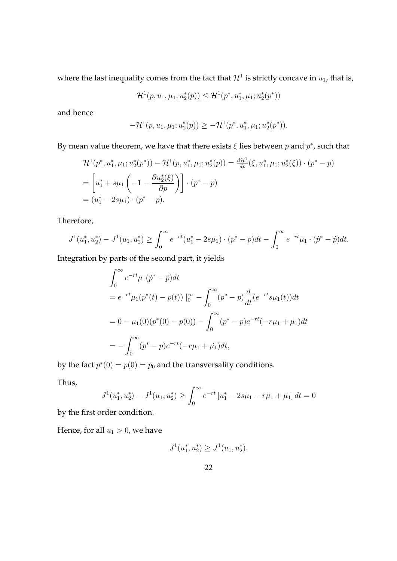where the last inequality comes from the fact that  $\mathcal{H}^1$  is strictly concave in  $u_1$ , that is,

$$
\mathcal{H}^1(p, u_1, \mu_1; u_2^*(p)) \leq \mathcal{H}^1(p^*, u_1^*, \mu_1; u_2^*(p^*))
$$

and hence

$$
-\mathcal{H}^1(p, u_1, \mu_1; u_2^*(p)) \ge -\mathcal{H}^1(p^*, u_1^*, \mu_1; u_2^*(p^*)).
$$

By mean value theorem, we have that there exists *ξ* lies between *p* and *p ∗* , such that

$$
\mathcal{H}^{1}(p^{*}, u_{1}^{*}, \mu_{1}; u_{2}^{*}(p^{*})) - \mathcal{H}^{1}(p, u_{1}^{*}, \mu_{1}; u_{2}^{*}(p)) = \frac{d\mathcal{H}^{1}}{dp}(\xi, u_{1}^{*}, \mu_{1}; u_{2}^{*}(\xi)) \cdot (p^{*} - p)
$$
  
=  $\left[ u_{1}^{*} + s\mu_{1} \left( -1 - \frac{\partial u_{2}^{*}(\xi)}{\partial p} \right) \right] \cdot (p^{*} - p)$   
=  $(u_{1}^{*} - 2s\mu_{1}) \cdot (p^{*} - p).$ 

Therefore,

$$
J^1(u_1^*, u_2^*) - J^1(u_1, u_2^*) \ge \int_0^\infty e^{-rt} (u_1^* - 2s\mu_1) \cdot (p^* - p) dt - \int_0^\infty e^{-rt} \mu_1 \cdot (p^* - p) dt.
$$

Integration by parts of the second part, it yields

$$
\int_0^{\infty} e^{-rt} \mu_1(p^* - \dot{p}) dt
$$
  
=  $e^{-rt} \mu_1(p^*(t) - p(t))|_0^{\infty} - \int_0^{\infty} (p^* - p) \frac{d}{dt} (e^{-rt} s \mu_1(t)) dt$   
=  $0 - \mu_1(0)(p^*(0) - p(0)) - \int_0^{\infty} (p^* - p) e^{-rt} (-r\mu_1 + \mu_1) dt$   
=  $-\int_0^{\infty} (p^* - p) e^{-rt} (-r\mu_1 + \mu_1) dt$ ,

by the fact  $p^*(0) = p(0) = p_0$  and the transversality conditions.

Thus,

$$
J^{1}(u_{1}^{*}, u_{2}^{*}) - J^{1}(u_{1}, u_{2}^{*}) \ge \int_{0}^{\infty} e^{-rt} \left[u_{1}^{*} - 2s\mu_{1} - r\mu_{1} + \mu_{1}\right] dt = 0
$$

by the first order condition.

Hence, for all  $u_1 > 0$ , we have

$$
J^{1}(u_1^*, u_2^*) \geq J^{1}(u_1, u_2^*).
$$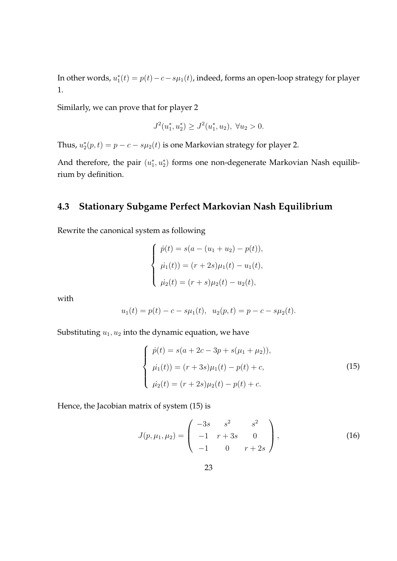In other words,  $u_1^*(t) = p(t) - c - s\mu_1(t)$ , indeed, forms an open-loop strategy for player 1.

Similarly, we can prove that for player 2

$$
J^{2}(u_{1}^{*}, u_{2}^{*}) \geq J^{2}(u_{1}^{*}, u_{2}), \ \forall u_{2} > 0.
$$

Thus,  $u_2^*(p,t) = p - c - s\mu_2(t)$  is one Markovian strategy for player 2.

And therefore, the pair  $(u_1^*, u_2^*)$  forms one non-degenerate Markovian Nash equilibrium by definition.

#### **4.3 Stationary Subgame Perfect Markovian Nash Equilibrium**

Rewrite the canonical system as following

$$
\begin{cases}\n\dot{p}(t) = s(a - (u_1 + u_2) - p(t)), \\
\dot{\mu}_1(t) = (r + 2s)\mu_1(t) - u_1(t), \\
\dot{\mu}_2(t) = (r + s)\mu_2(t) - u_2(t),\n\end{cases}
$$

with

$$
u_1(t) = p(t) - c - s\mu_1(t), \ \ u_2(p,t) = p - c - s\mu_2(t).
$$

Substituting  $u_1, u_2$  into the dynamic equation, we have

$$
\begin{cases}\n\dot{p}(t) = s(a + 2c - 3p + s(\mu_1 + \mu_2)), \\
\dot{\mu}_1(t) = (r + 3s)\mu_1(t) - p(t) + c, \\
\dot{\mu}_2(t) = (r + 2s)\mu_2(t) - p(t) + c.\n\end{cases}
$$
\n(15)

Hence, the Jacobian matrix of system (15) is

$$
J(p, \mu_1, \mu_2) = \begin{pmatrix} -3s & s^2 & s^2 \\ -1 & r + 3s & 0 \\ -1 & 0 & r + 2s \end{pmatrix},
$$
 (16)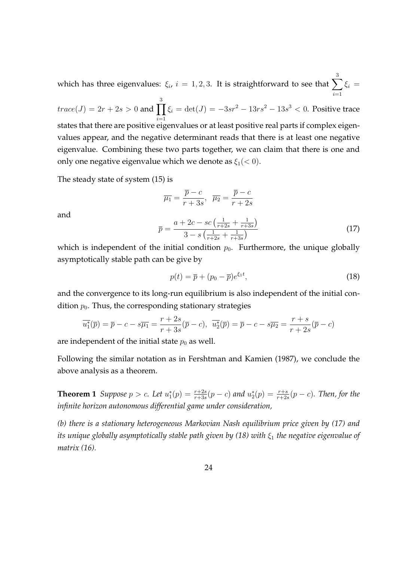which has three eigenvalues:  $\xi_i$ ,  $i=1,2,3.$  It is straightforward to see that  $\sum$ 3 *i*=1  $\xi_i =$ 

 $trace(J) = 2r + 2s > 0$  and  $\prod$ 3 *i*=1  $ξ<sub>i</sub> = det(J) = −3sr<sup>2</sup> − 13rs<sup>2</sup> − 13s<sup>3</sup> < 0.$  Positive trace states that there are positive eigenvalues or at least positive real parts if complex eigenvalues appear, and the negative determinant reads that there is at least one negative eigenvalue. Combining these two parts together, we can claim that there is one and only one negative eigenvalue which we denote as *ξ*1(*<* 0).

The steady state of system (15) is

$$
\overline{\mu_1} = \frac{\overline{p} - c}{r + 3s}, \quad \overline{\mu_2} = \frac{\overline{p} - c}{r + 2s}
$$

$$
\overline{p} = \frac{a + 2c - sc\left(\frac{1}{r + 2s} + \frac{1}{r + 3s}\right)}{3 - s\left(\frac{1}{r + 2s} + \frac{1}{r + 3s}\right)}
$$
(17)

and

which is independent of the initial condition  $p_0$ . Furthermore, the unique globally asymptotically stable path can be give by

$$
p(t) = \overline{p} + (p_0 - \overline{p})e^{\xi_1 t},\tag{18}
$$

and the convergence to its long-run equilibrium is also independent of the initial condition  $p_0$ . Thus, the corresponding stationary strategies

$$
\overline{u_1^*}(\overline{p}) = \overline{p} - c - s\overline{\mu_1} = \frac{r+2s}{r+3s}(\overline{p} - c), \quad \overline{u_2^*}(\overline{p}) = \overline{p} - c - s\overline{\mu_2} = \frac{r+s}{r+2s}(\overline{p} - c)
$$

are independent of the initial state  $p_0$  as well.

Following the similar notation as in Fershtman and Kamien (1987), we conclude the above analysis as a theorem.

**Theorem 1** Suppose  $p > c$ . Let  $u_1^*(p) = \frac{r+2s}{r+3s}(p-c)$  and  $u_2^*(p) = \frac{r+s}{r+2s}(p-c)$ . Then, for the *infinite horizon autonomous differential game under consideration,*

*(b) there is a stationary heterogeneous Markovian Nash equilibrium price given by (17) and its unique globally asymptotically stable path given by (18) with ξ*<sup>1</sup> *the negative eigenvalue of matrix (16).*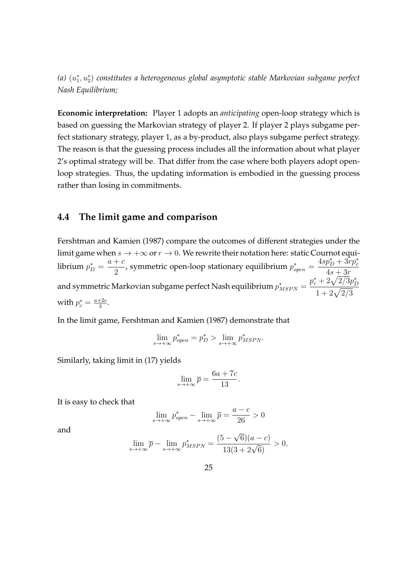*(a)* (*u ∗* 1 *, u<sup>∗</sup>* 2 ) *constitutes a heterogeneous global asymptotic stable Markovian subgame perfect Nash Equilibrium;*

**Economic interpretation:** Player 1 adopts an *anticipating* open-loop strategy which is based on guessing the Markovian strategy of player 2. If player 2 plays subgame perfect stationary strategy, player 1, as a by-product, also plays subgame perfect strategy. The reason is that the guessing process includes all the information about what player 2's optimal strategy will be. That differ from the case where both players adopt openloop strategies. Thus, the updating information is embodied in the guessing process rather than losing in commitments.

#### **4.4 The limit game and comparison**

Fershtman and Kamien (1987) compare the outcomes of different strategies under the limit game when  $s \to +\infty$  or  $r \to 0$ . We rewrite their notation here: static Cournot equi- $\text{librium } p_D^* =$ *a* + *c*  $\frac{1}{2}$ , symmetric open-loop stationary equilibrium  $p_{open}^* =$  $4sp_D^* + 3rp_c^*$  $4s + 3r$ and symmetric Markovian subgame perfect Nash equilibrium  $p^{*}_{MSPN} =$  $p_c^* + 2\sqrt{2/3}p_D^*$  $1 + 2\sqrt{2/3}$ with  $p_c^* = \frac{a+2c}{3}$  $\frac{+2c}{3}$ .

In the limit game, Fershtman and Kamien (1987) demonstrate that

$$
\lim_{s \to +\infty} p_{open}^* = p_D^* > \lim_{s \to +\infty} p_{MSPN}^*.
$$

Similarly, taking limit in (17) yields

$$
\lim_{s \to +\infty} \overline{p} = \frac{6a + 7c}{13}.
$$

It is easy to check that

$$
\lim_{s \to +\infty} p_{open}^* - \lim_{s \to +\infty} \overline{p} = \frac{a-c}{26} > 0
$$

and

$$
\lim_{s \to +\infty} \bar{p} - \lim_{s \to +\infty} p_{MSPN}^* = \frac{(5 - \sqrt{6})(a - c)}{13(3 + 2\sqrt{6})} > 0,
$$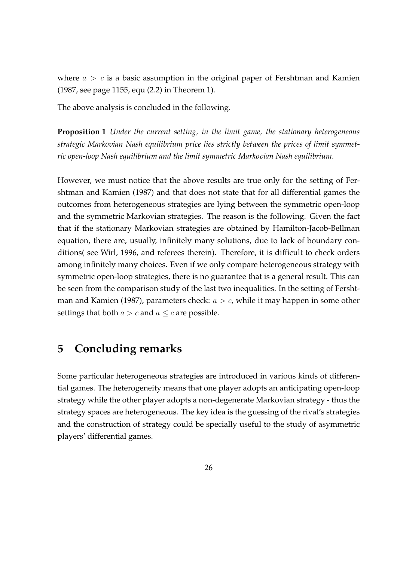where  $a > c$  is a basic assumption in the original paper of Fershtman and Kamien (1987, see page 1155, equ (2.2) in Theorem 1).

The above analysis is concluded in the following.

**Proposition 1** *Under the current setting, in the limit game, the stationary heterogeneous strategic Markovian Nash equilibrium price lies strictly between the prices of limit symmetric open-loop Nash equilibrium and the limit symmetric Markovian Nash equilibrium.*

However, we must notice that the above results are true only for the setting of Fershtman and Kamien (1987) and that does not state that for all differential games the outcomes from heterogeneous strategies are lying between the symmetric open-loop and the symmetric Markovian strategies. The reason is the following. Given the fact that if the stationary Markovian strategies are obtained by Hamilton-Jacob-Bellman equation, there are, usually, infinitely many solutions, due to lack of boundary conditions( see Wirl, 1996, and referees therein). Therefore, it is difficult to check orders among infinitely many choices. Even if we only compare heterogeneous strategy with symmetric open-loop strategies, there is no guarantee that is a general result. This can be seen from the comparison study of the last two inequalities. In the setting of Fershtman and Kamien (1987), parameters check: *a > c*, while it may happen in some other settings that both  $a > c$  and  $a \leq c$  are possible.

# **5 Concluding remarks**

Some particular heterogeneous strategies are introduced in various kinds of differential games. The heterogeneity means that one player adopts an anticipating open-loop strategy while the other player adopts a non-degenerate Markovian strategy - thus the strategy spaces are heterogeneous. The key idea is the guessing of the rival's strategies and the construction of strategy could be specially useful to the study of asymmetric players' differential games.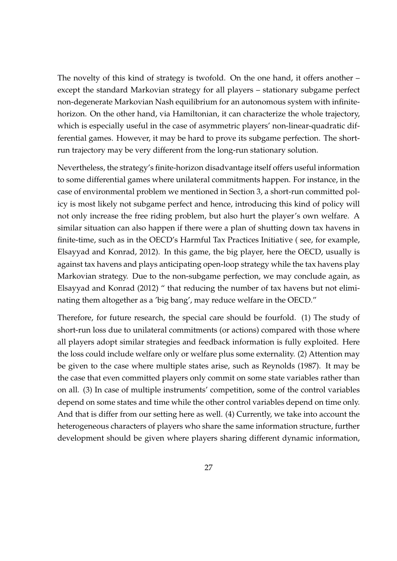The novelty of this kind of strategy is twofold. On the one hand, it offers another – except the standard Markovian strategy for all players – stationary subgame perfect non-degenerate Markovian Nash equilibrium for an autonomous system with infinitehorizon. On the other hand, via Hamiltonian, it can characterize the whole trajectory, which is especially useful in the case of asymmetric players' non-linear-quadratic differential games. However, it may be hard to prove its subgame perfection. The shortrun trajectory may be very different from the long-run stationary solution.

Nevertheless, the strategy's finite-horizon disadvantage itself offers useful information to some differential games where unilateral commitments happen. For instance, in the case of environmental problem we mentioned in Section 3, a short-run committed policy is most likely not subgame perfect and hence, introducing this kind of policy will not only increase the free riding problem, but also hurt the player's own welfare. A similar situation can also happen if there were a plan of shutting down tax havens in finite-time, such as in the OECD's Harmful Tax Practices Initiative ( see, for example, Elsayyad and Konrad, 2012). In this game, the big player, here the OECD, usually is against tax havens and plays anticipating open-loop strategy while the tax havens play Markovian strategy. Due to the non-subgame perfection, we may conclude again, as Elsayyad and Konrad (2012) " that reducing the number of tax havens but not eliminating them altogether as a 'big bang', may reduce welfare in the OECD."

Therefore, for future research, the special care should be fourfold. (1) The study of short-run loss due to unilateral commitments (or actions) compared with those where all players adopt similar strategies and feedback information is fully exploited. Here the loss could include welfare only or welfare plus some externality. (2) Attention may be given to the case where multiple states arise, such as Reynolds (1987). It may be the case that even committed players only commit on some state variables rather than on all. (3) In case of multiple instruments' competition, some of the control variables depend on some states and time while the other control variables depend on time only. And that is differ from our setting here as well. (4) Currently, we take into account the heterogeneous characters of players who share the same information structure, further development should be given where players sharing different dynamic information,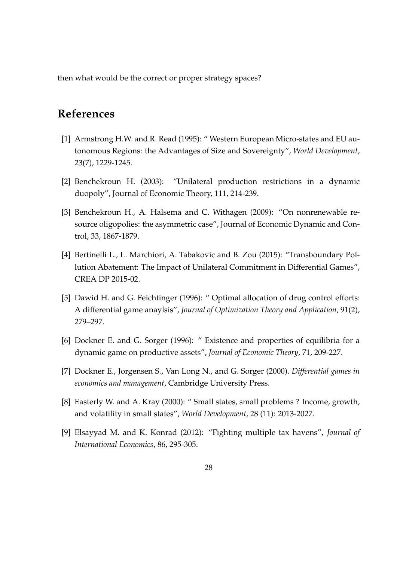then what would be the correct or proper strategy spaces?

# **References**

- [1] Armstrong H.W. and R. Read (1995): " Western European Micro-states and EU autonomous Regions: the Advantages of Size and Sovereignty", *World Development*, 23(7), 1229-1245.
- [2] Benchekroun H. (2003): "Unilateral production restrictions in a dynamic duopoly", Journal of Economic Theory, 111, 214-239.
- [3] Benchekroun H., A. Halsema and C. Withagen (2009): "On nonrenewable resource oligopolies: the asymmetric case", Journal of Economic Dynamic and Control, 33, 1867-1879.
- [4] Bertinelli L., L. Marchiori, A. Tabakovic and B. Zou (2015): "Transboundary Pollution Abatement: The Impact of Unilateral Commitment in Differential Games", CREA DP 2015-02.
- [5] Dawid H. and G. Feichtinger (1996): " Optimal allocation of drug control efforts: A differential game anaylsis", *Journal of Optimization Theory and Application*, 91(2), 279–297.
- [6] Dockner E. and G. Sorger (1996): " Existence and properties of equilibria for a dynamic game on productive assets", *Journal of Economic Theory*, 71, 209-227.
- [7] Dockner E., Jorgensen S., Van Long N., and G. Sorger (2000). *Differential games in economics and management*, Cambridge University Press.
- [8] Easterly W. and A. Kray (2000): " Small states, small problems ? Income, growth, and volatility in small states", *World Development*, 28 (11): 2013-2027.
- [9] Elsayyad M. and K. Konrad (2012): "Fighting multiple tax havens", *Journal of International Economics*, 86, 295-305.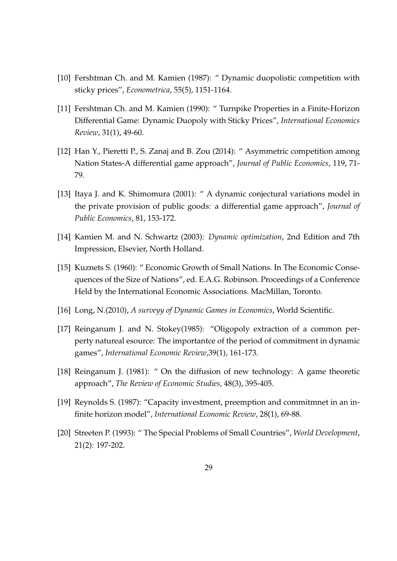- [10] Fershtman Ch. and M. Kamien (1987): " Dynamic duopolistic competition with sticky prices", *Econometrica*, 55(5), 1151-1164.
- [11] Fershtman Ch. and M. Kamien (1990): " Turnpike Properties in a Finite-Horizon Differential Game: Dynamic Duopoly with Sticky Prices", *International Economics Review*, 31(1), 49-60.
- [12] Han Y., Pieretti P., S. Zanaj and B. Zou (2014): " Asymmetric competition among Nation States-A differential game approach", *Journal of Public Economics*, 119, 71- 79.
- [13] Itaya J. and K. Shimomura (2001): " A dynamic conjectural variations model in the private provision of public goods: a differential game approach", *Journal of Public Economics*, 81, 153-172.
- [14] Kamien M. and N. Schwartz (2003): *Dynamic optimization*, 2nd Edition and 7th Impression, Elsevier, North Holland.
- [15] Kuznets S. (1960): " Economic Growth of Small Nations. In The Economic Consequences of the Size of Nations", ed. E.A.G. Robinson. Proceedings of a Conference Held by the International Economic Associations. MacMillan, Toronto.
- [16] Long, N.(2010), *A surveyy of Dynamic Games in Economics*, World Scientific.
- [17] Reinganum J. and N. Stokey(1985): "Oligopoly extraction of a common perperty natureal esource: The importantce of the period of commitment in dynamic games", *International Economic Review*,39(1), 161-173.
- [18] Reinganum J. (1981): " On the diffusion of new technology: A game theoretic approach", *The Review of Economic Studies*, 48(3), 395-405.
- [19] Reynolds S. (1987): "Capacity investment, preemption and commitmnet in an infinite horizon model", *International Economic Review*, 28(1), 69-88.
- [20] Streeten P. (1993): " The Special Problems of Small Countries", *World Development*, 21(2): 197-202.